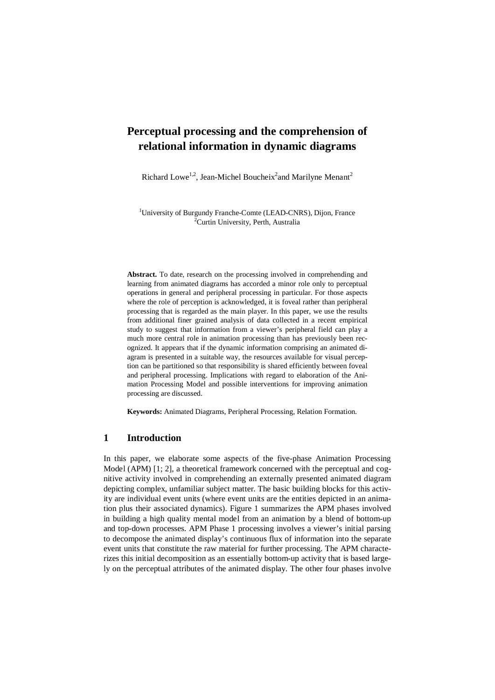# **Perceptual processing and the comprehension of relational information in dynamic diagrams**

Richard Lowe<sup>1,2</sup>, Jean-Michel Boucheix<sup>2</sup> and Marilyne Menant<sup>2</sup>

<sup>1</sup>University of Burgundy Franche-Comte (LEAD-CNRS), Dijon, France <sup>2</sup>Curtin University, Perth, Australia

**Abstract.** To date, research on the processing involved in comprehending and learning from animated diagrams has accorded a minor role only to perceptual operations in general and peripheral processing in particular. For those aspects where the role of perception is acknowledged, it is foveal rather than peripheral processing that is regarded as the main player. In this paper, we use the results from additional finer grained analysis of data collected in a recent empirical study to suggest that information from a viewer's peripheral field can play a much more central role in animation processing than has previously been recognized. It appears that if the dynamic information comprising an animated diagram is presented in a suitable way, the resources available for visual perception can be partitioned so that responsibility is shared efficiently between foveal and peripheral processing. Implications with regard to elaboration of the Animation Processing Model and possible interventions for improving animation processing are discussed.

**Keywords:** Animated Diagrams, Peripheral Processing, Relation Formation.

## **1 Introduction**

In this paper, we elaborate some aspects of the five-phase Animation Processing Model (APM) [1; 2], a theoretical framework concerned with the perceptual and cognitive activity involved in comprehending an externally presented animated diagram depicting complex, unfamiliar subject matter. The basic building blocks for this activity are individual event units (where event units are the entities depicted in an animation plus their associated dynamics). Figure 1 summarizes the APM phases involved in building a high quality mental model from an animation by a blend of bottom-up and top-down processes. APM Phase 1 processing involves a viewer's initial parsing to decompose the animated display's continuous flux of information into the separate event units that constitute the raw material for further processing. The APM characterizes this initial decomposition as an essentially bottom-up activity that is based largely on the perceptual attributes of the animated display. The other four phases involve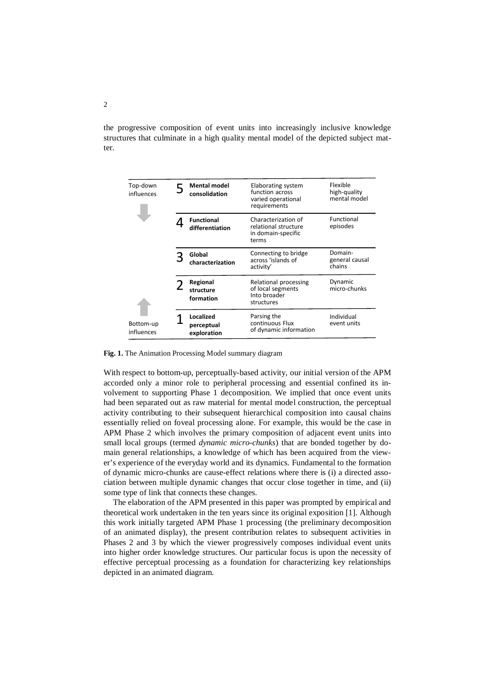the progressive composition of event units into increasingly inclusive knowledge structures that culminate in a high quality mental model of the depicted subject matter.

| Top-down<br>influences<br>Bottom-up<br>influences | <b>Mental model</b><br>consolidation   | Elaborating system<br>function across<br>varied operational<br>requirements | Flexible<br>high-quality<br>mental model |
|---------------------------------------------------|----------------------------------------|-----------------------------------------------------------------------------|------------------------------------------|
|                                                   | <b>Functional</b><br>differentiation   | Characterization of<br>relational structure<br>in domain-specific<br>terms  | Functional<br>episodes                   |
|                                                   | Global<br>characterization             | Connecting to bridge<br>across 'islands of<br>activity'                     | Domain-<br>general causal<br>chains      |
|                                                   | Regional<br>structure<br>formation     | Relational processing<br>of local segments<br>Into broader<br>structures    | Dynamic<br>micro-chunks                  |
|                                                   | Localized<br>perceptual<br>exploration | Parsing the<br>continuous Flux<br>of dynamic information                    | Individual<br>event units                |

**Fig. 1.** The Animation Processing Model summary diagram

With respect to bottom-up, perceptually-based activity, our initial version of the APM accorded only a minor role to peripheral processing and essential confined its involvement to supporting Phase 1 decomposition. We implied that once event units had been separated out as raw material for mental model construction, the perceptual activity contributing to their subsequent hierarchical composition into causal chains essentially relied on foveal processing alone. For example, this would be the case in APM Phase 2 which involves the primary composition of adjacent event units into small local groups (termed *dynamic micro-chunks*) that are bonded together by domain general relationships, a knowledge of which has been acquired from the viewer's experience of the everyday world and its dynamics. Fundamental to the formation of dynamic micro-chunks are cause-effect relations where there is (i) a directed association between multiple dynamic changes that occur close together in time, and (ii) some type of link that connects these changes.

The elaboration of the APM presented in this paper was prompted by empirical and theoretical work undertaken in the ten years since its original exposition [1]. Although this work initially targeted APM Phase 1 processing (the preliminary decomposition of an animated display), the present contribution relates to subsequent activities in Phases 2 and 3 by which the viewer progressively composes individual event units into higher order knowledge structures. Our particular focus is upon the necessity of effective perceptual processing as a foundation for characterizing key relationships depicted in an animated diagram.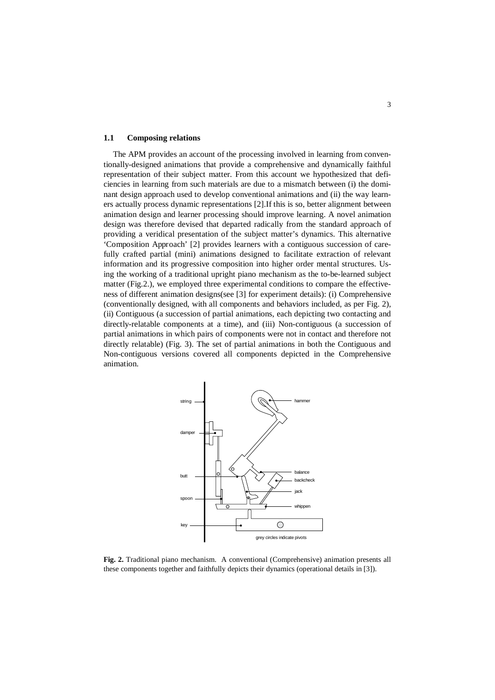#### **1.1 Composing relations**

The APM provides an account of the processing involved in learning from conventionally-designed animations that provide a comprehensive and dynamically faithful representation of their subject matter. From this account we hypothesized that deficiencies in learning from such materials are due to a mismatch between (i) the dominant design approach used to develop conventional animations and (ii) the way learners actually process dynamic representations [2].If this is so, better alignment between animation design and learner processing should improve learning. A novel animation design was therefore devised that departed radically from the standard approach of providing a veridical presentation of the subject matter's dynamics. This alternative 'Composition Approach' [2] provides learners with a contiguous succession of carefully crafted partial (mini) animations designed to facilitate extraction of relevant information and its progressive composition into higher order mental structures. Using the working of a traditional upright piano mechanism as the to-be-learned subject matter (Fig.2.), we employed three experimental conditions to compare the effectiveness of different animation designs(see [3] for experiment details): (i) Comprehensive (conventionally designed, with all components and behaviors included, as per Fig. 2), (ii) Contiguous (a succession of partial animations, each depicting two contacting and directly-relatable components at a time), and (iii) Non-contiguous (a succession of partial animations in which pairs of components were not in contact and therefore not directly relatable) (Fig. 3). The set of partial animations in both the Contiguous and Non-contiguous versions covered all components depicted in the Comprehensive animation.



**Fig. 2.** Traditional piano mechanism. A conventional (Comprehensive) animation presents all these components together and faithfully depicts their dynamics (operational details in [3]).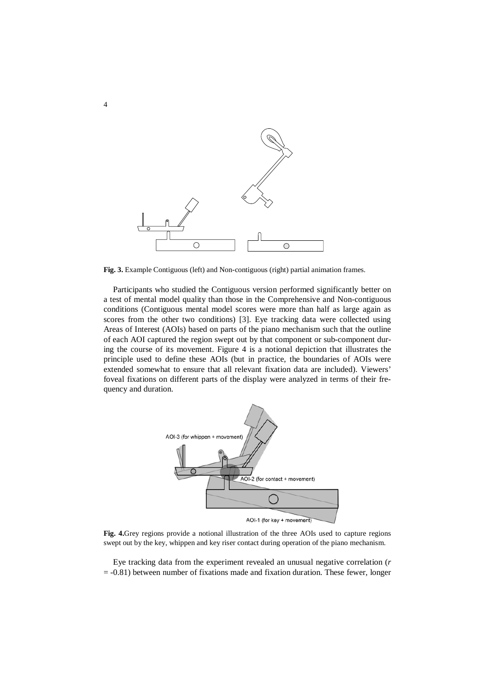

**Fig. 3.** Example Contiguous (left) and Non-contiguous (right) partial animation frames.

Participants who studied the Contiguous version performed significantly better on a test of mental model quality than those in the Comprehensive and Non-contiguous conditions (Contiguous mental model scores were more than half as large again as scores from the other two conditions) [3]. Eye tracking data were collected using Areas of Interest (AOIs) based on parts of the piano mechanism such that the outline of each AOI captured the region swept out by that component or sub-component during the course of its movement. Figure 4 is a notional depiction that illustrates the principle used to define these AOIs (but in practice, the boundaries of AOIs were extended somewhat to ensure that all relevant fixation data are included). Viewers' foveal fixations on different parts of the display were analyzed in terms of their frequency and duration.



**Fig. 4.**Grey regions provide a notional illustration of the three AOIs used to capture regions swept out by the key, whippen and key riser contact during operation of the piano mechanism.

Eye tracking data from the experiment revealed an unusual negative correlation (*r*  $= -0.81$ ) between number of fixations made and fixation duration. These fewer, longer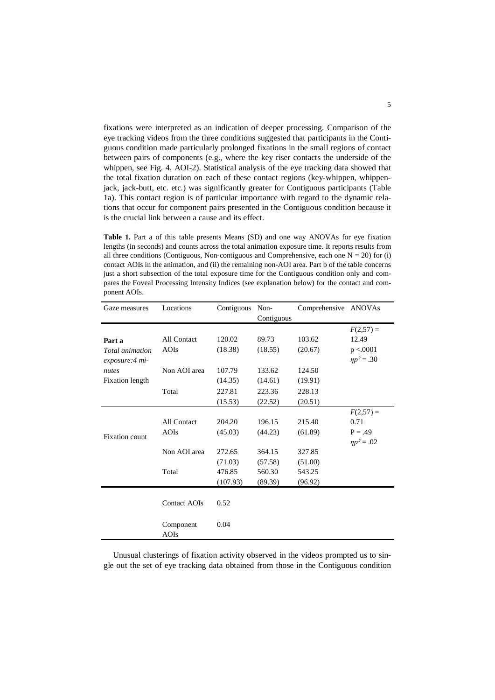fixations were interpreted as an indication of deeper processing. Comparison of the eye tracking videos from the three conditions suggested that participants in the Contiguous condition made particularly prolonged fixations in the small regions of contact between pairs of components (e.g., where the key riser contacts the underside of the whippen, see Fig. 4, AOI-2). Statistical analysis of the eye tracking data showed that the total fixation duration on each of these contact regions (key-whippen, whippenjack, jack-butt, etc. etc.) was significantly greater for Contiguous participants (Table 1a). This contact region is of particular importance with regard to the dynamic relations that occur for component pairs presented in the Contiguous condition because it is the crucial link between a cause and its effect.

Table 1. Part a of this table presents Means (SD) and one way ANOVAs for eye fixation lengths (in seconds) and counts across the total animation exposure time. It reports results from all three conditions (Contiguous, Non-contiguous and Comprehensive, each one  $N = 20$ ) for (i) contact AOIs in the animation, and (ii) the remaining non-AOI area. Part b of the table concerns just a short subsection of the total exposure time for the Contiguous condition only and compares the Foveal Processing Intensity Indices (see explanation below) for the contact and component AOIs.

| Gaze measures          | Locations           | Contiguous | Non-       | Comprehensive ANOVAs |              |
|------------------------|---------------------|------------|------------|----------------------|--------------|
|                        |                     |            | Contiguous |                      |              |
|                        |                     |            |            |                      | $F(2,57) =$  |
| Part a                 | All Contact         | 120.02     | 89.73      | 103.62               | 12.49        |
| Total animation        | AOIs                | (18.38)    | (18.55)    | (20.67)              | p < .0001    |
| exposure:4 mi-         |                     |            |            |                      | $np^2 = .30$ |
| nutes                  | Non AOI area        | 107.79     | 133.62     | 124.50               |              |
| <b>Fixation</b> length |                     | (14.35)    | (14.61)    | (19.91)              |              |
|                        | Total               | 227.81     | 223.36     | 228.13               |              |
|                        |                     | (15.53)    | (22.52)    | (20.51)              |              |
| <b>Fixation</b> count  |                     |            |            |                      | $F(2,57) =$  |
|                        | All Contact         | 204.20     | 196.15     | 215.40               | 0.71         |
|                        | AOIs                | (45.03)    | (44.23)    | (61.89)              | $P = .49$    |
|                        |                     |            |            |                      | $np^2 = .02$ |
|                        | Non AOI area        | 272.65     | 364.15     | 327.85               |              |
|                        |                     | (71.03)    | (57.58)    | (51.00)              |              |
|                        | Total               | 476.85     | 560.30     | 543.25               |              |
|                        |                     | (107.93)   | (89.39)    | (96.92)              |              |
|                        |                     |            |            |                      |              |
|                        | <b>Contact AOIs</b> | 0.52       |            |                      |              |
|                        |                     |            |            |                      |              |
|                        | Component           | 0.04       |            |                      |              |
|                        | <b>AOIs</b>         |            |            |                      |              |

Unusual clusterings of fixation activity observed in the videos prompted us to single out the set of eye tracking data obtained from those in the Contiguous condition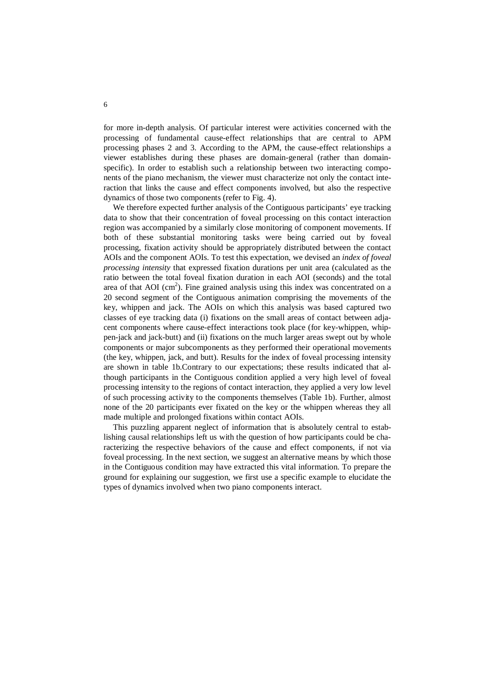for more in-depth analysis. Of particular interest were activities concerned with the processing of fundamental cause-effect relationships that are central to APM processing phases 2 and 3. According to the APM, the cause-effect relationships a viewer establishes during these phases are domain-general (rather than domainspecific). In order to establish such a relationship between two interacting components of the piano mechanism, the viewer must characterize not only the contact interaction that links the cause and effect components involved, but also the respective dynamics of those two components (refer to Fig. 4).

We therefore expected further analysis of the Contiguous participants' eye tracking data to show that their concentration of foveal processing on this contact interaction region was accompanied by a similarly close monitoring of component movements. If both of these substantial monitoring tasks were being carried out by foveal processing, fixation activity should be appropriately distributed between the contact AOIs and the component AOIs. To test this expectation, we devised an *index of foveal processing intensity* that expressed fixation durations per unit area (calculated as the ratio between the total foveal fixation duration in each AOI (seconds) and the total area of that AOI ( $cm<sup>2</sup>$ ). Fine grained analysis using this index was concentrated on a 20 second segment of the Contiguous animation comprising the movements of the key, whippen and jack. The AOIs on which this analysis was based captured two classes of eye tracking data (i) fixations on the small areas of contact between adjacent components where cause-effect interactions took place (for key-whippen, whippen-jack and jack-butt) and (ii) fixations on the much larger areas swept out by whole components or major subcomponents as they performed their operational movements (the key, whippen, jack, and butt). Results for the index of foveal processing intensity are shown in table 1b.Contrary to our expectations; these results indicated that although participants in the Contiguous condition applied a very high level of foveal processing intensity to the regions of contact interaction, they applied a very low level of such processing activity to the components themselves (Table 1b). Further, almost none of the 20 participants ever fixated on the key or the whippen whereas they all made multiple and prolonged fixations within contact AOIs.

This puzzling apparent neglect of information that is absolutely central to establishing causal relationships left us with the question of how participants could be characterizing the respective behaviors of the cause and effect components, if not via foveal processing. In the next section, we suggest an alternative means by which those in the Contiguous condition may have extracted this vital information. To prepare the ground for explaining our suggestion, we first use a specific example to elucidate the types of dynamics involved when two piano components interact.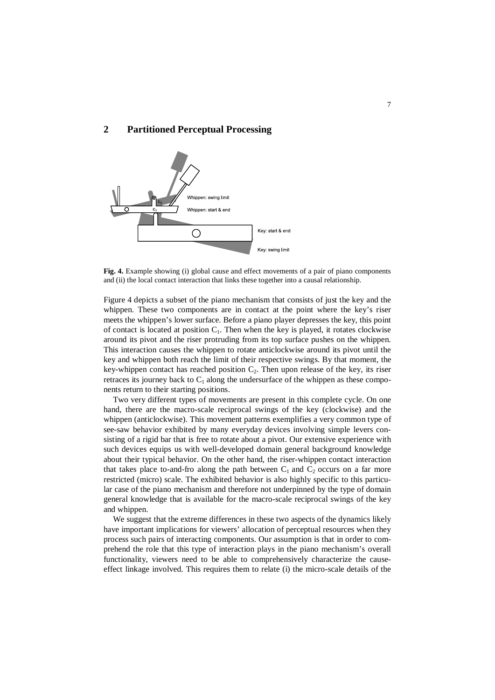# **2 Partitioned Perceptual Processing**



**Fig. 4.** Example showing (i) global cause and effect movements of a pair of piano components and (ii) the local contact interaction that links these together into a causal relationship.

Figure 4 depicts a subset of the piano mechanism that consists of just the key and the whippen. These two components are in contact at the point where the key's riser meets the whippen's lower surface. Before a piano player depresses the key, this point of contact is located at position  $C_1$ . Then when the key is played, it rotates clockwise around its pivot and the riser protruding from its top surface pushes on the whippen. This interaction causes the whippen to rotate anticlockwise around its pivot until the key and whippen both reach the limit of their respective swings. By that moment, the key-whippen contact has reached position  $C_2$ . Then upon release of the key, its riser retraces its journey back to  $C_1$  along the undersurface of the whippen as these components return to their starting positions.

Two very different types of movements are present in this complete cycle. On one hand, there are the macro-scale reciprocal swings of the key (clockwise) and the whippen (anticlockwise). This movement patterns exemplifies a very common type of see-saw behavior exhibited by many everyday devices involving simple levers consisting of a rigid bar that is free to rotate about a pivot. Our extensive experience with such devices equips us with well-developed domain general background knowledge about their typical behavior. On the other hand, the riser-whippen contact interaction that takes place to-and-fro along the path between  $C_1$  and  $C_2$  occurs on a far more restricted (micro) scale. The exhibited behavior is also highly specific to this particular case of the piano mechanism and therefore not underpinned by the type of domain general knowledge that is available for the macro-scale reciprocal swings of the key and whippen.

We suggest that the extreme differences in these two aspects of the dynamics likely have important implications for viewers' allocation of perceptual resources when they process such pairs of interacting components. Our assumption is that in order to comprehend the role that this type of interaction plays in the piano mechanism's overall functionality, viewers need to be able to comprehensively characterize the causeeffect linkage involved. This requires them to relate (i) the micro-scale details of the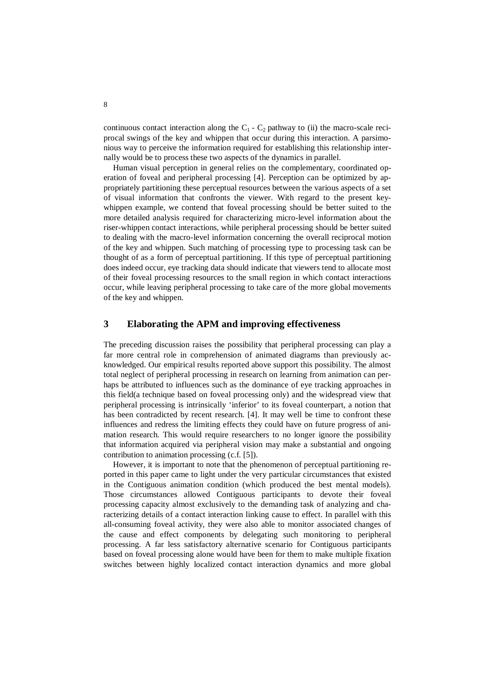continuous contact interaction along the  $C_1$  -  $C_2$  pathway to (ii) the macro-scale reciprocal swings of the key and whippen that occur during this interaction. A parsimonious way to perceive the information required for establishing this relationship internally would be to process these two aspects of the dynamics in parallel.

Human visual perception in general relies on the complementary, coordinated operation of foveal and peripheral processing [4]. Perception can be optimized by appropriately partitioning these perceptual resources between the various aspects of a set of visual information that confronts the viewer. With regard to the present keywhippen example, we contend that foveal processing should be better suited to the more detailed analysis required for characterizing micro-level information about the riser-whippen contact interactions, while peripheral processing should be better suited to dealing with the macro-level information concerning the overall reciprocal motion of the key and whippen. Such matching of processing type to processing task can be thought of as a form of perceptual partitioning. If this type of perceptual partitioning does indeed occur, eye tracking data should indicate that viewers tend to allocate most of their foveal processing resources to the small region in which contact interactions occur, while leaving peripheral processing to take care of the more global movements of the key and whippen.

# **3 Elaborating the APM and improving effectiveness**

The preceding discussion raises the possibility that peripheral processing can play a far more central role in comprehension of animated diagrams than previously acknowledged. Our empirical results reported above support this possibility. The almost total neglect of peripheral processing in research on learning from animation can perhaps be attributed to influences such as the dominance of eye tracking approaches in this field(a technique based on foveal processing only) and the widespread view that peripheral processing is intrinsically 'inferior' to its foveal counterpart, a notion that has been contradicted by recent research. [4]. It may well be time to confront these influences and redress the limiting effects they could have on future progress of animation research. This would require researchers to no longer ignore the possibility that information acquired via peripheral vision may make a substantial and ongoing contribution to animation processing (c.f. [5]).

However, it is important to note that the phenomenon of perceptual partitioning reported in this paper came to light under the very particular circumstances that existed in the Contiguous animation condition (which produced the best mental models). Those circumstances allowed Contiguous participants to devote their foveal processing capacity almost exclusively to the demanding task of analyzing and characterizing details of a contact interaction linking cause to effect. In parallel with this all-consuming foveal activity, they were also able to monitor associated changes of the cause and effect components by delegating such monitoring to peripheral processing. A far less satisfactory alternative scenario for Contiguous participants based on foveal processing alone would have been for them to make multiple fixation switches between highly localized contact interaction dynamics and more global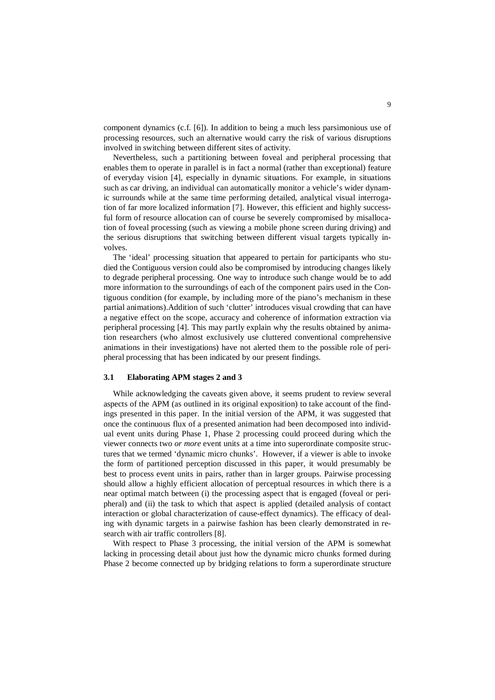component dynamics (c.f. [6]). In addition to being a much less parsimonious use of processing resources, such an alternative would carry the risk of various disruptions involved in switching between different sites of activity.

Nevertheless, such a partitioning between foveal and peripheral processing that enables them to operate in parallel is in fact a normal (rather than exceptional) feature of everyday vision [4], especially in dynamic situations. For example, in situations such as car driving, an individual can automatically monitor a vehicle's wider dynamic surrounds while at the same time performing detailed, analytical visual interrogation of far more localized information [7]. However, this efficient and highly successful form of resource allocation can of course be severely compromised by misallocation of foveal processing (such as viewing a mobile phone screen during driving) and the serious disruptions that switching between different visual targets typically involves.

The 'ideal' processing situation that appeared to pertain for participants who studied the Contiguous version could also be compromised by introducing changes likely to degrade peripheral processing. One way to introduce such change would be to add more information to the surroundings of each of the component pairs used in the Contiguous condition (for example, by including more of the piano's mechanism in these partial animations).Addition of such 'clutter' introduces visual crowding that can have a negative effect on the scope, accuracy and coherence of information extraction via peripheral processing [4]. This may partly explain why the results obtained by animation researchers (who almost exclusively use cluttered conventional comprehensive animations in their investigations) have not alerted them to the possible role of peripheral processing that has been indicated by our present findings.

#### **3.1 Elaborating APM stages 2 and 3**

While acknowledging the caveats given above, it seems prudent to review several aspects of the APM (as outlined in its original exposition) to take account of the findings presented in this paper. In the initial version of the APM, it was suggested that once the continuous flux of a presented animation had been decomposed into individual event units during Phase 1, Phase 2 processing could proceed during which the viewer connects two *or more* event units at a time into superordinate composite structures that we termed 'dynamic micro chunks'. However, if a viewer is able to invoke the form of partitioned perception discussed in this paper, it would presumably be best to process event units in pairs, rather than in larger groups. Pairwise processing should allow a highly efficient allocation of perceptual resources in which there is a near optimal match between (i) the processing aspect that is engaged (foveal or peripheral) and (ii) the task to which that aspect is applied (detailed analysis of contact interaction or global characterization of cause-effect dynamics). The efficacy of dealing with dynamic targets in a pairwise fashion has been clearly demonstrated in research with air traffic controllers [8].

With respect to Phase 3 processing, the initial version of the APM is somewhat lacking in processing detail about just how the dynamic micro chunks formed during Phase 2 become connected up by bridging relations to form a superordinate structure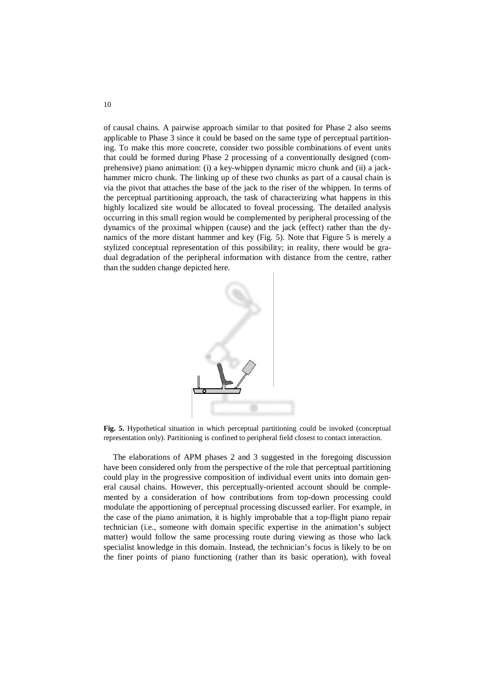of causal chains. A pairwise approach similar to that posited for Phase 2 also seems applicable to Phase 3 since it could be based on the same type of perceptual partitioning. To make this more concrete, consider two possible combinations of event units that could be formed during Phase 2 processing of a conventionally designed (comprehensive) piano animation: (i) a key-whippen dynamic micro chunk and (ii) a jackhammer micro chunk. The linking up of these two chunks as part of a causal chain is via the pivot that attaches the base of the jack to the riser of the whippen. In terms of the perceptual partitioning approach, the task of characterizing what happens in this highly localized site would be allocated to foveal processing. The detailed analysis occurring in this small region would be complemented by peripheral processing of the dynamics of the proximal whippen (cause) and the jack (effect) rather than the dynamics of the more distant hammer and key (Fig. 5). Note that Figure 5 is merely a stylized conceptual representation of this possibility; in reality, there would be gradual degradation of the peripheral information with distance from the centre, rather than the sudden change depicted here.



**Fig. 5.** Hypothetical situation in which perceptual partitioning could be invoked (conceptual representation only). Partitioning is confined to peripheral field closest to contact interaction.

The elaborations of APM phases 2 and 3 suggested in the foregoing discussion have been considered only from the perspective of the role that perceptual partitioning could play in the progressive composition of individual event units into domain general causal chains. However, this perceptually-oriented account should be complemented by a consideration of how contributions from top-down processing could modulate the apportioning of perceptual processing discussed earlier. For example, in the case of the piano animation, it is highly improbable that a top-flight piano repair technician (i.e., someone with domain specific expertise in the animation's subject matter) would follow the same processing route during viewing as those who lack specialist knowledge in this domain. Instead, the technician's focus is likely to be on the finer points of piano functioning (rather than its basic operation), with foveal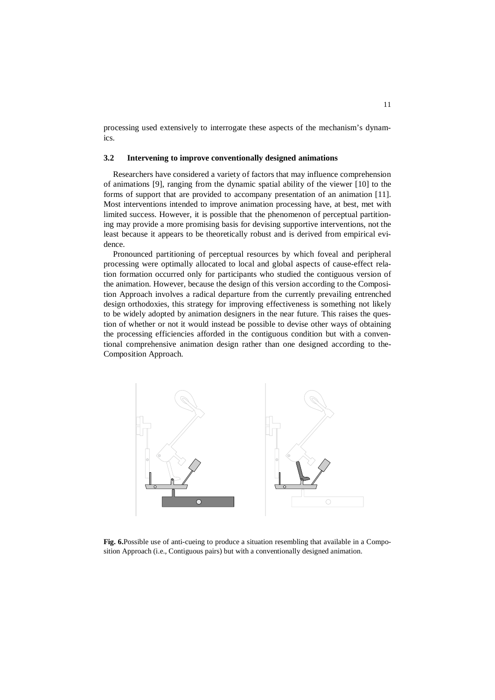processing used extensively to interrogate these aspects of the mechanism's dynamics.

### **3.2 Intervening to improve conventionally designed animations**

Researchers have considered a variety of factors that may influence comprehension of animations [9], ranging from the dynamic spatial ability of the viewer [10] to the forms of support that are provided to accompany presentation of an animation [11]. Most interventions intended to improve animation processing have, at best, met with limited success. However, it is possible that the phenomenon of perceptual partitioning may provide a more promising basis for devising supportive interventions, not the least because it appears to be theoretically robust and is derived from empirical evidence.

Pronounced partitioning of perceptual resources by which foveal and peripheral processing were optimally allocated to local and global aspects of cause-effect relation formation occurred only for participants who studied the contiguous version of the animation. However, because the design of this version according to the Composition Approach involves a radical departure from the currently prevailing entrenched design orthodoxies, this strategy for improving effectiveness is something not likely to be widely adopted by animation designers in the near future. This raises the question of whether or not it would instead be possible to devise other ways of obtaining the processing efficiencies afforded in the contiguous condition but with a conventional comprehensive animation design rather than one designed according to the-Composition Approach.



Fig. 6. Possible use of anti-cueing to produce a situation resembling that available in a Composition Approach (i.e., Contiguous pairs) but with a conventionally designed animation.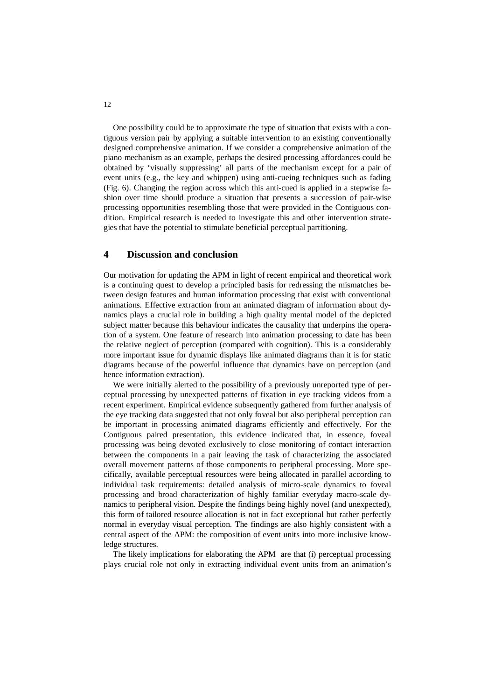One possibility could be to approximate the type of situation that exists with a contiguous version pair by applying a suitable intervention to an existing conventionally designed comprehensive animation. If we consider a comprehensive animation of the piano mechanism as an example, perhaps the desired processing affordances could be obtained by 'visually suppressing' all parts of the mechanism except for a pair of event units (e.g., the key and whippen) using anti-cueing techniques such as fading (Fig. 6). Changing the region across which this anti-cued is applied in a stepwise fashion over time should produce a situation that presents a succession of pair-wise processing opportunities resembling those that were provided in the Contiguous condition. Empirical research is needed to investigate this and other intervention strategies that have the potential to stimulate beneficial perceptual partitioning.

# **4 Discussion and conclusion**

Our motivation for updating the APM in light of recent empirical and theoretical work is a continuing quest to develop a principled basis for redressing the mismatches between design features and human information processing that exist with conventional animations. Effective extraction from an animated diagram of information about dynamics plays a crucial role in building a high quality mental model of the depicted subject matter because this behaviour indicates the causality that underpins the operation of a system. One feature of research into animation processing to date has been the relative neglect of perception (compared with cognition). This is a considerably more important issue for dynamic displays like animated diagrams than it is for static diagrams because of the powerful influence that dynamics have on perception (and hence information extraction).

We were initially alerted to the possibility of a previously unreported type of perceptual processing by unexpected patterns of fixation in eye tracking videos from a recent experiment. Empirical evidence subsequently gathered from further analysis of the eye tracking data suggested that not only foveal but also peripheral perception can be important in processing animated diagrams efficiently and effectively. For the Contiguous paired presentation, this evidence indicated that, in essence, foveal processing was being devoted exclusively to close monitoring of contact interaction between the components in a pair leaving the task of characterizing the associated overall movement patterns of those components to peripheral processing. More specifically, available perceptual resources were being allocated in parallel according to individual task requirements: detailed analysis of micro-scale dynamics to foveal processing and broad characterization of highly familiar everyday macro-scale dynamics to peripheral vision. Despite the findings being highly novel (and unexpected), this form of tailored resource allocation is not in fact exceptional but rather perfectly normal in everyday visual perception. The findings are also highly consistent with a central aspect of the APM: the composition of event units into more inclusive knowledge structures.

The likely implications for elaborating the APM are that (i) perceptual processing plays crucial role not only in extracting individual event units from an animation's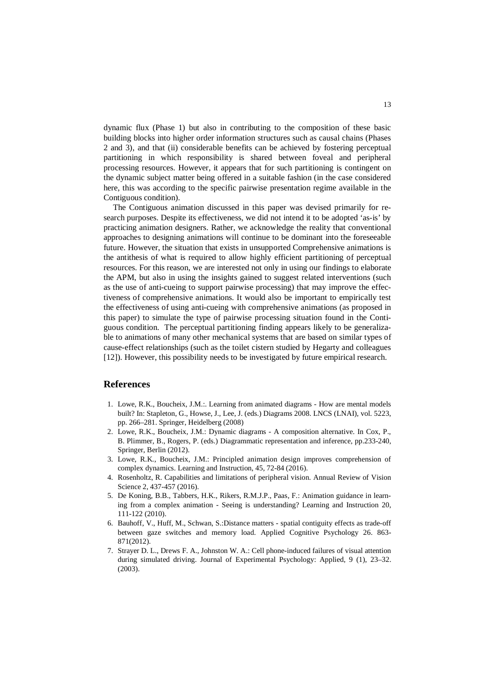dynamic flux (Phase 1) but also in contributing to the composition of these basic building blocks into higher order information structures such as causal chains (Phases 2 and 3), and that (ii) considerable benefits can be achieved by fostering perceptual partitioning in which responsibility is shared between foveal and peripheral processing resources. However, it appears that for such partitioning is contingent on the dynamic subject matter being offered in a suitable fashion (in the case considered here, this was according to the specific pairwise presentation regime available in the Contiguous condition).

The Contiguous animation discussed in this paper was devised primarily for research purposes. Despite its effectiveness, we did not intend it to be adopted 'as-is' by practicing animation designers. Rather, we acknowledge the reality that conventional approaches to designing animations will continue to be dominant into the foreseeable future. However, the situation that exists in unsupported Comprehensive animations is the antithesis of what is required to allow highly efficient partitioning of perceptual resources. For this reason, we are interested not only in using our findings to elaborate the APM, but also in using the insights gained to suggest related interventions (such as the use of anti-cueing to support pairwise processing) that may improve the effectiveness of comprehensive animations. It would also be important to empirically test the effectiveness of using anti-cueing with comprehensive animations (as proposed in this paper) to simulate the type of pairwise processing situation found in the Contiguous condition. The perceptual partitioning finding appears likely to be generalizable to animations of many other mechanical systems that are based on similar types of cause-effect relationships (such as the toilet cistern studied by Hegarty and colleagues [12]). However, this possibility needs to be investigated by future empirical research.

## **References**

- 1. Lowe, R.K., Boucheix, J.M.:. Learning from animated diagrams How are mental models built? In: Stapleton, G., Howse, J., Lee, J. (eds.) Diagrams 2008. LNCS (LNAI), vol. 5223, pp. 266–281. Springer, Heidelberg (2008)
- 2. Lowe, R.K., Boucheix, J.M.: Dynamic diagrams A composition alternative. In Cox, P., B. Plimmer, B., Rogers, P. (eds.) Diagrammatic representation and inference, pp.233-240, Springer, Berlin (2012).
- 3. Lowe, R.K., Boucheix, J.M.: Principled animation design improves comprehension of complex dynamics. Learning and Instruction, 45, 72-84 (2016).
- 4. Rosenholtz, R. Capabilities and limitations of peripheral vision. Annual Review of Vision Science 2, 437-457 (2016).
- 5. De Koning, B.B., Tabbers, H.K., Rikers, R.M.J.P., Paas, F.: Animation guidance in learning from a complex animation - Seeing is understanding? Learning and Instruction 20, 111-122 (2010).
- 6. Bauhoff, V., Huff, M., Schwan, S.:Distance matters spatial contiguity effects as trade-off between gaze switches and memory load. Applied Cognitive Psychology 26. 863- 871(2012).
- 7. Strayer D. L., Drews F. A., Johnston W. A.: Cell phone-induced failures of visual attention during simulated driving. Journal of Experimental Psychology: Applied, 9 (1), 23–32. (2003).